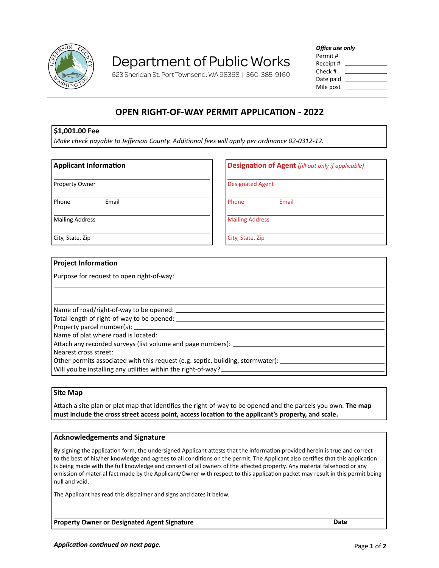

# Department of Public Works

623 Sheridan St, Port Townsend, WA 98368 | 360-385-9160

*Office use only*

| Permit #  |  |
|-----------|--|
| Receipt # |  |
| Check #   |  |
| Date paid |  |
| Mile post |  |

# **OPEN RIGHT-OF-WAY PERMIT APPLICATION - 2022**

#### **\$1,001.00 Fee**

*Make check payable to Jefferson County. Additional fees will apply per ordinance 02-0312-12.*

### **Applicant Information** Property Owner Phone Email Mailing Address City, State, Zip **Designation of Agent** *(fill out only if applicable)* Designated Agent Phone **Email** Mailing Address City, State, Zip

#### **Project Information**

Purpose for request to open right-of-way:

| Attach any recorded surveys (list volume and page numbers): ____________________                               |
|----------------------------------------------------------------------------------------------------------------|
|                                                                                                                |
| Other permits associated with this request (e.g. septic, building, stormwater): ______________________________ |
| Will you be installing any utilities within the right-of-way? ________________                                 |

#### **Site Map**

Attach a site plan or plat map that identifies the right-of-way to be opened and the parcels you own. **The map must include the cross street access point, access location to the applicant's property, and scale.**

#### **Acknowledgements and Signature**

By signing the application form, the undersigned Applicant attests that the information provided herein is true and correct to the best of his/her knowledge and agrees to all conditions on the permit. The Applicant also certifies that this application is being made with the full knowledge and consent of all owners of the affected property. Any material falsehood or any omission of material fact made by the Applicant/Owner with respect to this application packet may result in this permit being null and void.

The Applicant has read this disclaimer and signs and dates it below.

**Property Owner or Designated Agent Signature Date**